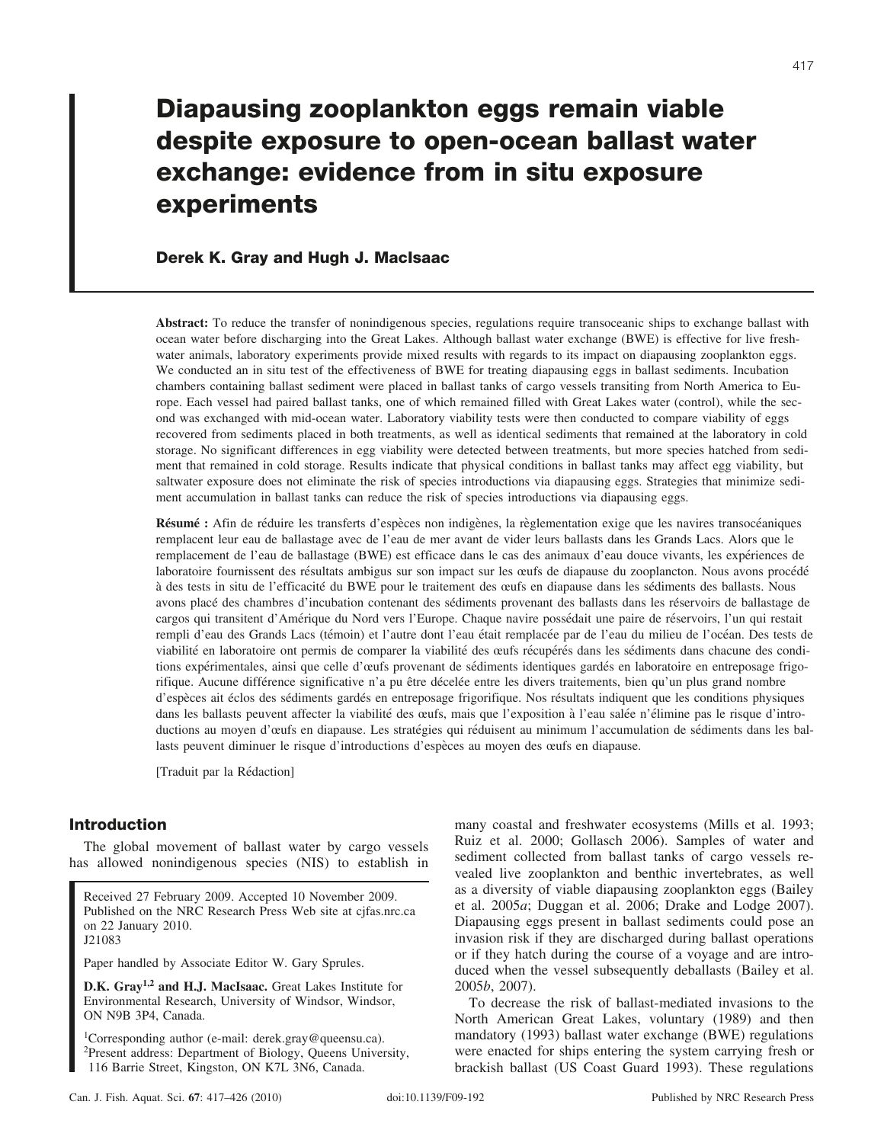# **Diapausing zooplankton eggs remain viable despite exposure to open-ocean ballast water exchange: evidence from in situ exposure experiments**

## **Derek K. Gray and Hugh J. MacIsaac**

**Abstract:** To reduce the transfer of nonindigenous species, regulations require transoceanic ships to exchange ballast with ocean water before discharging into the Great Lakes. Although ballast water exchange (BWE) is effective for live freshwater animals, laboratory experiments provide mixed results with regards to its impact on diapausing zooplankton eggs. We conducted an in situ test of the effectiveness of BWE for treating diapausing eggs in ballast sediments. Incubation chambers containing ballast sediment were placed in ballast tanks of cargo vessels transiting from North America to Europe. Each vessel had paired ballast tanks, one of which remained filled with Great Lakes water (control), while the second was exchanged with mid-ocean water. Laboratory viability tests were then conducted to compare viability of eggs recovered from sediments placed in both treatments, as well as identical sediments that remained at the laboratory in cold storage. No significant differences in egg viability were detected between treatments, but more species hatched from sediment that remained in cold storage. Results indicate that physical conditions in ballast tanks may affect egg viability, but saltwater exposure does not eliminate the risk of species introductions via diapausing eggs. Strategies that minimize sediment accumulation in ballast tanks can reduce the risk of species introductions via diapausing eggs.

Résumé : Afin de réduire les transferts d'espèces non indigènes, la règlementation exige que les navires transocéaniques remplacent leur eau de ballastage avec de l'eau de mer avant de vider leurs ballasts dans les Grands Lacs. Alors que le remplacement de l'eau de ballastage (BWE) est efficace dans le cas des animaux d'eau douce vivants, les expériences de laboratoire fournissent des résultats ambigus sur son impact sur les œufs de diapause du zooplancton. Nous avons procédé à des tests in situ de l'efficacité du BWE pour le traitement des œufs en diapause dans les sédiments des ballasts. Nous avons placé des chambres d'incubation contenant des sédiments provenant des ballasts dans les réservoirs de ballastage de cargos qui transitent d'Amérique du Nord vers l'Europe. Chaque navire possédait une paire de réservoirs, l'un qui restait rempli d'eau des Grands Lacs (témoin) et l'autre dont l'eau était remplacée par de l'eau du milieu de l'océan. Des tests de viabilité en laboratoire ont permis de comparer la viabilité des œufs récupérés dans les sédiments dans chacune des conditions expérimentales, ainsi que celle d'œufs provenant de sédiments identiques gardés en laboratoire en entreposage frigorifique. Aucune différence significative n'a pu être décelée entre les divers traitements, bien qu'un plus grand nombre d'espèces ait éclos des sédiments gardés en entreposage frigorifique. Nos résultats indiquent que les conditions physiques dans les ballasts peuvent affecter la viabilité des œufs, mais que l'exposition à l'eau salée n'élimine pas le risque d'introductions au moyen d'œufs en diapause. Les stratégies qui réduisent au minimum l'accumulation de sédiments dans les ballasts peuvent diminuer le risque d'introductions d'espèces au moyen des œufs en diapause.

[Traduit par la Rédaction]

## **Introduction**

The global movement of ballast water by cargo vessels has allowed nonindigenous species (NIS) to establish in

Received 27 February 2009. Accepted 10 November 2009. Published on the NRC Research Press Web site at cjfas.nrc.ca on 22 January 2010. J21083

Paper handled by Associate Editor W. Gary Sprules.

**D.K. Gray1,2 and H.J. MacIsaac.** Great Lakes Institute for Environmental Research, University of Windsor, Windsor, ON N9B 3P4, Canada.

<sup>1</sup>Corresponding author (e-mail: derek.gray@queensu.ca). 2Present address: Department of Biology, Queens University, 116 Barrie Street, Kingston, ON K7L 3N6, Canada.

many coastal and freshwater ecosystems (Mills et al. 1993; Ruiz et al. 2000; Gollasch 2006). Samples of water and sediment collected from ballast tanks of cargo vessels revealed live zooplankton and benthic invertebrates, as well as a diversity of viable diapausing zooplankton eggs (Bailey et al. 2005*a*; Duggan et al. 2006; Drake and Lodge 2007). Diapausing eggs present in ballast sediments could pose an invasion risk if they are discharged during ballast operations or if they hatch during the course of a voyage and are introduced when the vessel subsequently deballasts (Bailey et al. 2005*b*, 2007).

To decrease the risk of ballast-mediated invasions to the North American Great Lakes, voluntary (1989) and then mandatory (1993) ballast water exchange (BWE) regulations were enacted for ships entering the system carrying fresh or brackish ballast (US Coast Guard 1993). These regulations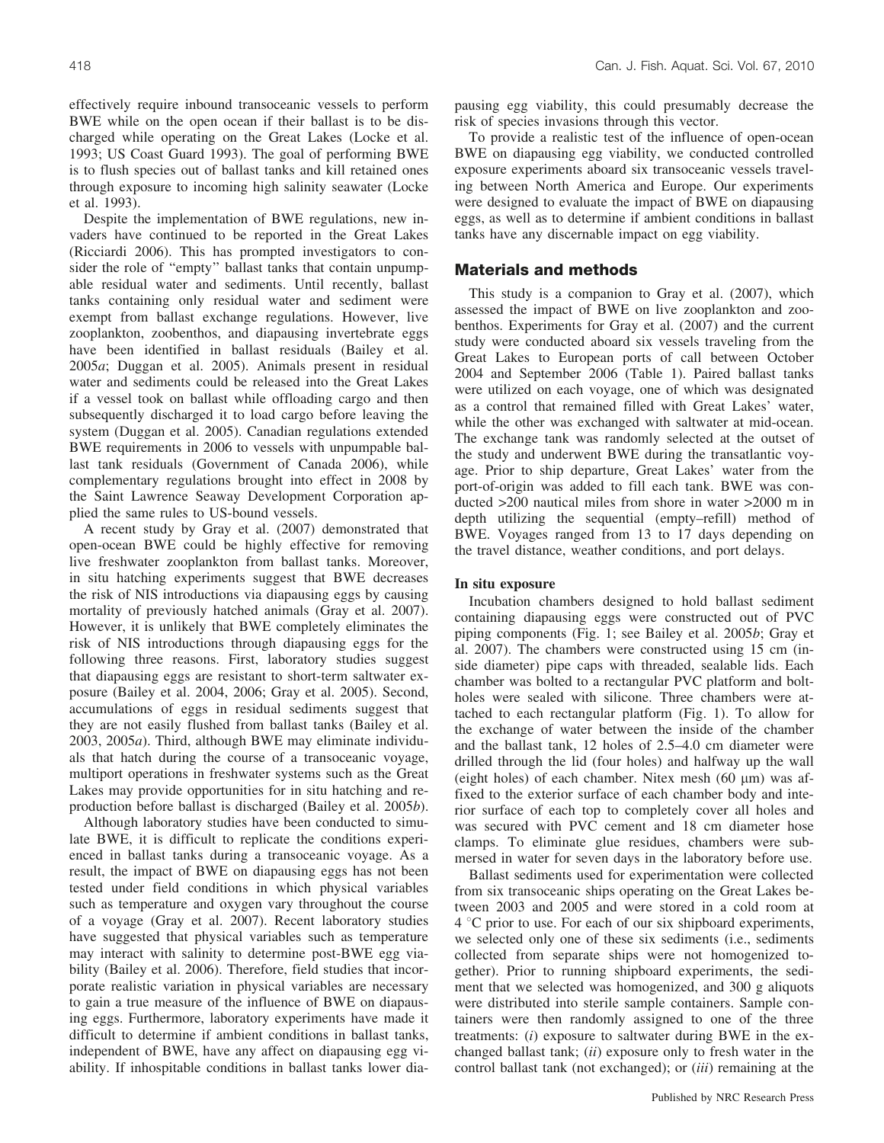effectively require inbound transoceanic vessels to perform BWE while on the open ocean if their ballast is to be discharged while operating on the Great Lakes (Locke et al. 1993; US Coast Guard 1993). The goal of performing BWE is to flush species out of ballast tanks and kill retained ones through exposure to incoming high salinity seawater (Locke et al. 1993).

Despite the implementation of BWE regulations, new invaders have continued to be reported in the Great Lakes (Ricciardi 2006). This has prompted investigators to consider the role of ''empty'' ballast tanks that contain unpumpable residual water and sediments. Until recently, ballast tanks containing only residual water and sediment were exempt from ballast exchange regulations. However, live zooplankton, zoobenthos, and diapausing invertebrate eggs have been identified in ballast residuals (Bailey et al. 2005*a*; Duggan et al. 2005). Animals present in residual water and sediments could be released into the Great Lakes if a vessel took on ballast while offloading cargo and then subsequently discharged it to load cargo before leaving the system (Duggan et al. 2005). Canadian regulations extended BWE requirements in 2006 to vessels with unpumpable ballast tank residuals (Government of Canada 2006), while complementary regulations brought into effect in 2008 by the Saint Lawrence Seaway Development Corporation applied the same rules to US-bound vessels.

A recent study by Gray et al. (2007) demonstrated that open-ocean BWE could be highly effective for removing live freshwater zooplankton from ballast tanks. Moreover, in situ hatching experiments suggest that BWE decreases the risk of NIS introductions via diapausing eggs by causing mortality of previously hatched animals (Gray et al. 2007). However, it is unlikely that BWE completely eliminates the risk of NIS introductions through diapausing eggs for the following three reasons. First, laboratory studies suggest that diapausing eggs are resistant to short-term saltwater exposure (Bailey et al. 2004, 2006; Gray et al. 2005). Second, accumulations of eggs in residual sediments suggest that they are not easily flushed from ballast tanks (Bailey et al. 2003, 2005*a*). Third, although BWE may eliminate individuals that hatch during the course of a transoceanic voyage, multiport operations in freshwater systems such as the Great Lakes may provide opportunities for in situ hatching and reproduction before ballast is discharged (Bailey et al. 2005*b*).

Although laboratory studies have been conducted to simulate BWE, it is difficult to replicate the conditions experienced in ballast tanks during a transoceanic voyage. As a result, the impact of BWE on diapausing eggs has not been tested under field conditions in which physical variables such as temperature and oxygen vary throughout the course of a voyage (Gray et al. 2007). Recent laboratory studies have suggested that physical variables such as temperature may interact with salinity to determine post-BWE egg viability (Bailey et al. 2006). Therefore, field studies that incorporate realistic variation in physical variables are necessary to gain a true measure of the influence of BWE on diapausing eggs. Furthermore, laboratory experiments have made it difficult to determine if ambient conditions in ballast tanks, independent of BWE, have any affect on diapausing egg viability. If inhospitable conditions in ballast tanks lower diapausing egg viability, this could presumably decrease the risk of species invasions through this vector.

To provide a realistic test of the influence of open-ocean BWE on diapausing egg viability, we conducted controlled exposure experiments aboard six transoceanic vessels traveling between North America and Europe. Our experiments were designed to evaluate the impact of BWE on diapausing eggs, as well as to determine if ambient conditions in ballast tanks have any discernable impact on egg viability.

### **Materials and methods**

This study is a companion to Gray et al. (2007), which assessed the impact of BWE on live zooplankton and zoobenthos. Experiments for Gray et al. (2007) and the current study were conducted aboard six vessels traveling from the Great Lakes to European ports of call between October 2004 and September 2006 (Table 1). Paired ballast tanks were utilized on each voyage, one of which was designated as a control that remained filled with Great Lakes' water, while the other was exchanged with saltwater at mid-ocean. The exchange tank was randomly selected at the outset of the study and underwent BWE during the transatlantic voyage. Prior to ship departure, Great Lakes' water from the port-of-origin was added to fill each tank. BWE was conducted >200 nautical miles from shore in water >2000 m in depth utilizing the sequential (empty–refill) method of BWE. Voyages ranged from 13 to 17 days depending on the travel distance, weather conditions, and port delays.

#### **In situ exposure**

Incubation chambers designed to hold ballast sediment containing diapausing eggs were constructed out of PVC piping components (Fig. 1; see Bailey et al. 2005*b*; Gray et al. 2007). The chambers were constructed using 15 cm (inside diameter) pipe caps with threaded, sealable lids. Each chamber was bolted to a rectangular PVC platform and boltholes were sealed with silicone. Three chambers were attached to each rectangular platform (Fig. 1). To allow for the exchange of water between the inside of the chamber and the ballast tank, 12 holes of 2.5–4.0 cm diameter were drilled through the lid (four holes) and halfway up the wall (eight holes) of each chamber. Nitex mesh (60  $\mu$ m) was affixed to the exterior surface of each chamber body and interior surface of each top to completely cover all holes and was secured with PVC cement and 18 cm diameter hose clamps. To eliminate glue residues, chambers were submersed in water for seven days in the laboratory before use.

Ballast sediments used for experimentation were collected from six transoceanic ships operating on the Great Lakes between 2003 and 2005 and were stored in a cold room at 4 °C prior to use. For each of our six shipboard experiments, we selected only one of these six sediments (i.e., sediments collected from separate ships were not homogenized together). Prior to running shipboard experiments, the sediment that we selected was homogenized, and 300 g aliquots were distributed into sterile sample containers. Sample containers were then randomly assigned to one of the three treatments: (*i*) exposure to saltwater during BWE in the exchanged ballast tank; (*ii*) exposure only to fresh water in the control ballast tank (not exchanged); or (*iii*) remaining at the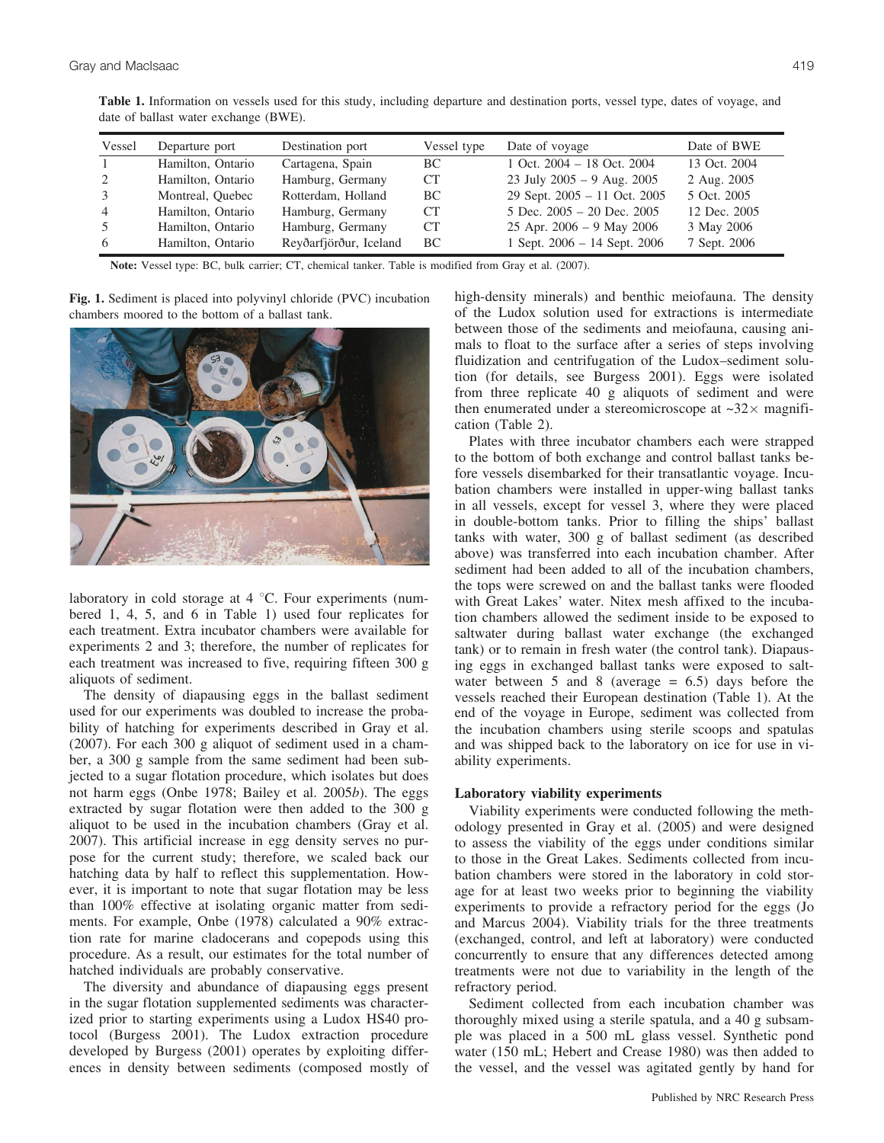| Vessel         | Departure port    | Destination port       | Vessel type | Date of voyage                   | Date of BWE  |
|----------------|-------------------|------------------------|-------------|----------------------------------|--------------|
|                | Hamilton, Ontario | Cartagena, Spain       | BC.         | 1 Oct. $2004 - 18$ Oct. $2004$   | 13 Oct. 2004 |
| 2              | Hamilton, Ontario | Hamburg, Germany       | <b>CT</b>   | 23 July $2005 - 9$ Aug. $2005$   | 2 Aug. 2005  |
| $\mathcal{E}$  | Montreal, Ouebec  | Rotterdam, Holland     | BC.         | 29 Sept. 2005 - 11 Oct. 2005     | 5 Oct. 2005  |
| $\overline{4}$ | Hamilton, Ontario | Hamburg, Germany       | CT.         | 5 Dec. $2005 - 20$ Dec. $2005$   | 12 Dec. 2005 |
| 5 <sup>5</sup> | Hamilton, Ontario | Hamburg, Germany       | CT          | 25 Apr. 2006 – 9 May 2006        | 3 May 2006   |
| -6             | Hamilton, Ontario | Reyðarfjörður, Iceland | <b>BC</b>   | 1 Sept. $2006 - 14$ Sept. $2006$ | 7 Sept. 2006 |

**Table 1.** Information on vessels used for this study, including departure and destination ports, vessel type, dates of voyage, and date of ballast water exchange (BWE).

**Note:** Vessel type: BC, bulk carrier; CT, chemical tanker. Table is modified from Gray et al. (2007).

**Fig. 1.** Sediment is placed into polyvinyl chloride (PVC) incubation chambers moored to the bottom of a ballast tank.



laboratory in cold storage at  $4^{\circ}$ C. Four experiments (numbered 1, 4, 5, and 6 in Table 1) used four replicates for each treatment. Extra incubator chambers were available for experiments 2 and 3; therefore, the number of replicates for each treatment was increased to five, requiring fifteen 300 g aliquots of sediment.

The density of diapausing eggs in the ballast sediment used for our experiments was doubled to increase the probability of hatching for experiments described in Gray et al. (2007). For each 300 g aliquot of sediment used in a chamber, a 300 g sample from the same sediment had been subjected to a sugar flotation procedure, which isolates but does not harm eggs (Onbe 1978; Bailey et al. 2005*b*). The eggs extracted by sugar flotation were then added to the 300 g aliquot to be used in the incubation chambers (Gray et al. 2007). This artificial increase in egg density serves no purpose for the current study; therefore, we scaled back our hatching data by half to reflect this supplementation. However, it is important to note that sugar flotation may be less than 100% effective at isolating organic matter from sediments. For example, Onbe (1978) calculated a 90% extraction rate for marine cladocerans and copepods using this procedure. As a result, our estimates for the total number of hatched individuals are probably conservative.

The diversity and abundance of diapausing eggs present in the sugar flotation supplemented sediments was characterized prior to starting experiments using a Ludox HS40 protocol (Burgess 2001). The Ludox extraction procedure developed by Burgess (2001) operates by exploiting differences in density between sediments (composed mostly of high-density minerals) and benthic meiofauna. The density of the Ludox solution used for extractions is intermediate between those of the sediments and meiofauna, causing animals to float to the surface after a series of steps involving fluidization and centrifugation of the Ludox–sediment solution (for details, see Burgess 2001). Eggs were isolated from three replicate 40 g aliquots of sediment and were then enumerated under a stereomicroscope at  $\sim 32 \times$  magnification (Table 2).

Plates with three incubator chambers each were strapped to the bottom of both exchange and control ballast tanks before vessels disembarked for their transatlantic voyage. Incubation chambers were installed in upper-wing ballast tanks in all vessels, except for vessel 3, where they were placed in double-bottom tanks. Prior to filling the ships' ballast tanks with water, 300 g of ballast sediment (as described above) was transferred into each incubation chamber. After sediment had been added to all of the incubation chambers, the tops were screwed on and the ballast tanks were flooded with Great Lakes' water. Nitex mesh affixed to the incubation chambers allowed the sediment inside to be exposed to saltwater during ballast water exchange (the exchanged tank) or to remain in fresh water (the control tank). Diapausing eggs in exchanged ballast tanks were exposed to saltwater between 5 and 8 (average  $= 6.5$ ) days before the vessels reached their European destination (Table 1). At the end of the voyage in Europe, sediment was collected from the incubation chambers using sterile scoops and spatulas and was shipped back to the laboratory on ice for use in viability experiments.

#### **Laboratory viability experiments**

Viability experiments were conducted following the methodology presented in Gray et al. (2005) and were designed to assess the viability of the eggs under conditions similar to those in the Great Lakes. Sediments collected from incubation chambers were stored in the laboratory in cold storage for at least two weeks prior to beginning the viability experiments to provide a refractory period for the eggs (Jo and Marcus 2004). Viability trials for the three treatments (exchanged, control, and left at laboratory) were conducted concurrently to ensure that any differences detected among treatments were not due to variability in the length of the refractory period.

Sediment collected from each incubation chamber was thoroughly mixed using a sterile spatula, and a 40 g subsample was placed in a 500 mL glass vessel. Synthetic pond water (150 mL; Hebert and Crease 1980) was then added to the vessel, and the vessel was agitated gently by hand for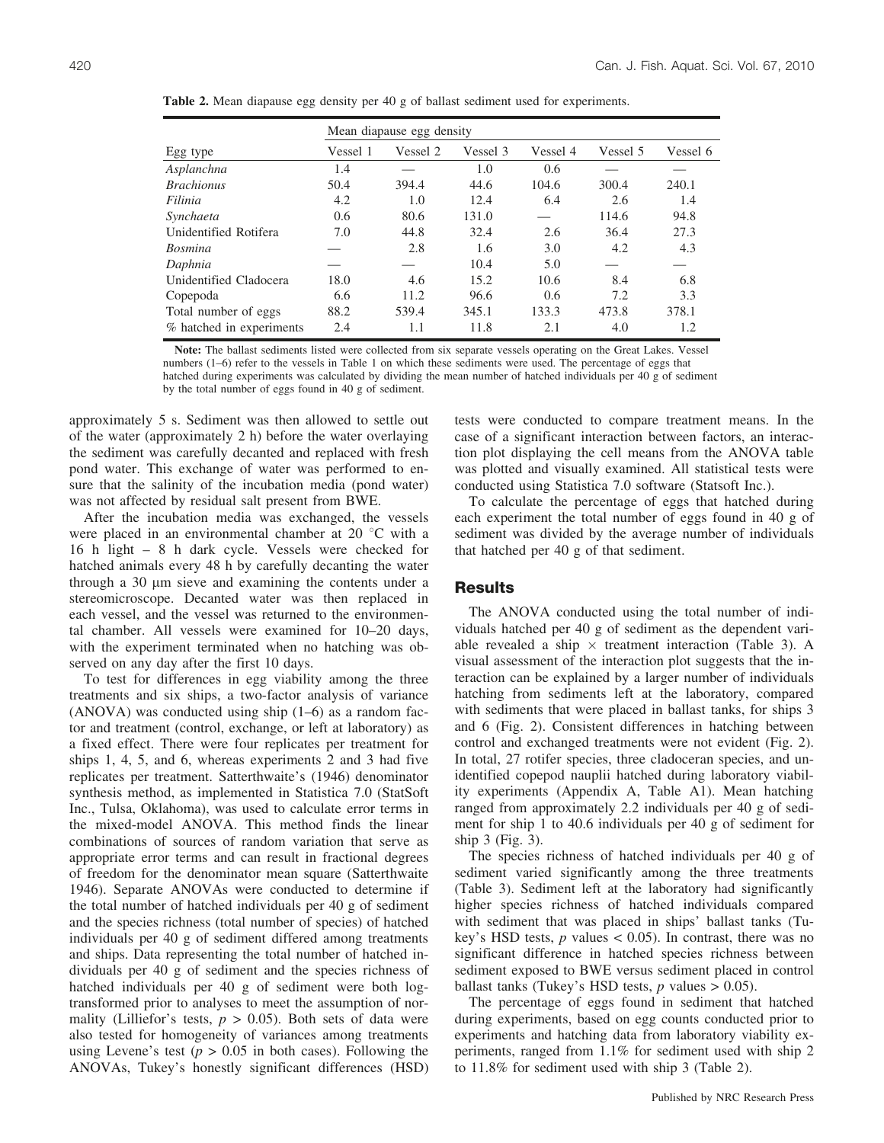|                              | Mean diapause egg density |          |          |          |          |          |
|------------------------------|---------------------------|----------|----------|----------|----------|----------|
| Egg type                     | Vessel 1                  | Vessel 2 | Vessel 3 | Vessel 4 | Vessel 5 | Vessel 6 |
| Asplanchna                   | 1.4                       |          | 1.0      | 0.6      |          |          |
| <b>Brachionus</b>            | 50.4                      | 394.4    | 44.6     | 104.6    | 300.4    | 240.1    |
| Filinia                      | 4.2                       | 1.0      | 12.4     | 6.4      | 2.6      | 1.4      |
| Synchaeta                    | 0.6                       | 80.6     | 131.0    |          | 114.6    | 94.8     |
| <b>Unidentified Rotifera</b> | 7.0                       | 44.8     | 32.4     | 2.6      | 36.4     | 27.3     |
| <b>Bosmina</b>               |                           | 2.8      | 1.6      | 3.0      | 4.2      | 4.3      |
| Daphnia                      |                           |          | 10.4     | 5.0      |          |          |
| Unidentified Cladocera       | 18.0                      | 4.6      | 15.2     | 10.6     | 8.4      | 6.8      |
| Copepoda                     | 6.6                       | 11.2     | 96.6     | 0.6      | 7.2      | 3.3      |
| Total number of eggs         | 88.2                      | 539.4    | 345.1    | 133.3    | 473.8    | 378.1    |
| % hatched in experiments     | 2.4                       | 1.1      | 11.8     | 2.1      | 4.0      | 1.2      |

**Table 2.** Mean diapause egg density per 40 g of ballast sediment used for experiments.

**Note:** The ballast sediments listed were collected from six separate vessels operating on the Great Lakes. Vessel numbers (1–6) refer to the vessels in Table 1 on which these sediments were used. The percentage of eggs that hatched during experiments was calculated by dividing the mean number of hatched individuals per 40 g of sediment by the total number of eggs found in 40 g of sediment.

approximately 5 s. Sediment was then allowed to settle out of the water (approximately 2 h) before the water overlaying the sediment was carefully decanted and replaced with fresh pond water. This exchange of water was performed to ensure that the salinity of the incubation media (pond water) was not affected by residual salt present from BWE.

After the incubation media was exchanged, the vessels were placed in an environmental chamber at 20  $\degree$ C with a 16 h light – 8 h dark cycle. Vessels were checked for hatched animals every 48 h by carefully decanting the water through a  $30 \mu m$  sieve and examining the contents under a stereomicroscope. Decanted water was then replaced in each vessel, and the vessel was returned to the environmental chamber. All vessels were examined for 10–20 days, with the experiment terminated when no hatching was observed on any day after the first 10 days.

To test for differences in egg viability among the three treatments and six ships, a two-factor analysis of variance  $(ANOVA)$  was conducted using ship  $(1-6)$  as a random factor and treatment (control, exchange, or left at laboratory) as a fixed effect. There were four replicates per treatment for ships 1, 4, 5, and 6, whereas experiments 2 and 3 had five replicates per treatment. Satterthwaite's (1946) denominator synthesis method, as implemented in Statistica 7.0 (StatSoft Inc., Tulsa, Oklahoma), was used to calculate error terms in the mixed-model ANOVA. This method finds the linear combinations of sources of random variation that serve as appropriate error terms and can result in fractional degrees of freedom for the denominator mean square (Satterthwaite 1946). Separate ANOVAs were conducted to determine if the total number of hatched individuals per 40 g of sediment and the species richness (total number of species) of hatched individuals per 40 g of sediment differed among treatments and ships. Data representing the total number of hatched individuals per 40 g of sediment and the species richness of hatched individuals per 40 g of sediment were both logtransformed prior to analyses to meet the assumption of normality (Lilliefor's tests,  $p > 0.05$ ). Both sets of data were also tested for homogeneity of variances among treatments using Levene's test  $(p > 0.05$  in both cases). Following the ANOVAs, Tukey's honestly significant differences (HSD) tests were conducted to compare treatment means. In the case of a significant interaction between factors, an interaction plot displaying the cell means from the ANOVA table was plotted and visually examined. All statistical tests were conducted using Statistica 7.0 software (Statsoft Inc.).

To calculate the percentage of eggs that hatched during each experiment the total number of eggs found in 40 g of sediment was divided by the average number of individuals that hatched per 40 g of that sediment.

#### **Results**

The ANOVA conducted using the total number of individuals hatched per 40 g of sediment as the dependent variable revealed a ship  $\times$  treatment interaction (Table 3). A visual assessment of the interaction plot suggests that the interaction can be explained by a larger number of individuals hatching from sediments left at the laboratory, compared with sediments that were placed in ballast tanks, for ships 3 and 6 (Fig. 2). Consistent differences in hatching between control and exchanged treatments were not evident (Fig. 2). In total, 27 rotifer species, three cladoceran species, and unidentified copepod nauplii hatched during laboratory viability experiments (Appendix A, Table A1). Mean hatching ranged from approximately 2.2 individuals per 40 g of sediment for ship 1 to 40.6 individuals per 40 g of sediment for ship 3 (Fig. 3).

The species richness of hatched individuals per 40 g of sediment varied significantly among the three treatments (Table 3). Sediment left at the laboratory had significantly higher species richness of hatched individuals compared with sediment that was placed in ships' ballast tanks (Tukey's HSD tests,  $p$  values  $< 0.05$ ). In contrast, there was no significant difference in hatched species richness between sediment exposed to BWE versus sediment placed in control ballast tanks (Tukey's HSD tests,  $p$  values  $> 0.05$ ).

The percentage of eggs found in sediment that hatched during experiments, based on egg counts conducted prior to experiments and hatching data from laboratory viability experiments, ranged from 1.1% for sediment used with ship 2 to 11.8% for sediment used with ship 3 (Table 2).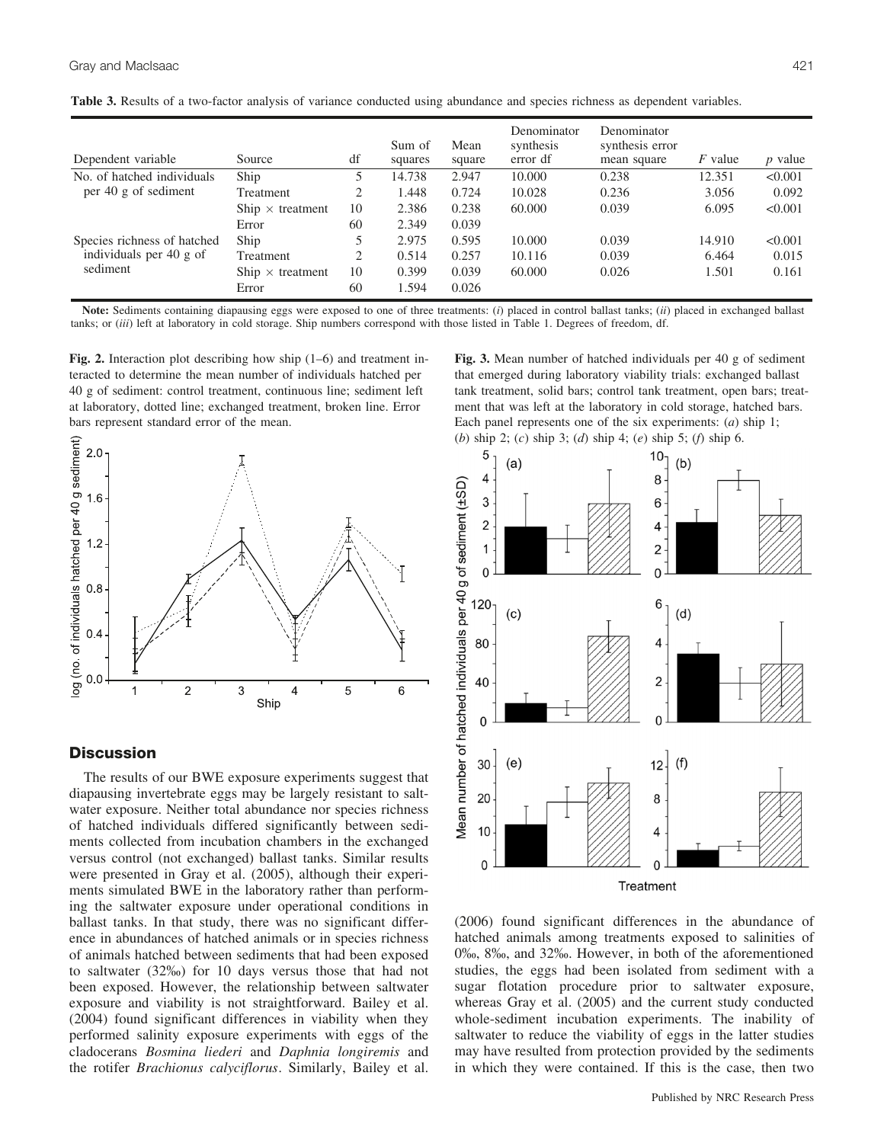| Dependent variable          | Source                  | df | Sum of<br>squares | Mean<br>square | Denominator<br>synthesis<br>error df | Denominator<br>synthesis error<br>mean square | $F$ value | $p$ value |
|-----------------------------|-------------------------|----|-------------------|----------------|--------------------------------------|-----------------------------------------------|-----------|-----------|
| No. of hatched individuals  | Ship                    |    | 14.738            | 2.947          | 10.000                               | 0.238                                         | 12.351    | < 0.001   |
| per 40 g of sediment        | Treatment               | ↑  | 1.448             | 0.724          | 10.028                               | 0.236                                         | 3.056     | 0.092     |
|                             | Ship $\times$ treatment | 10 | 2.386             | 0.238          | 60.000                               | 0.039                                         | 6.095     | < 0.001   |
|                             | Error                   | 60 | 2.349             | 0.039          |                                      |                                               |           |           |
| Species richness of hatched | Ship                    |    | 2.975             | 0.595          | 10.000                               | 0.039                                         | 14.910    | < 0.001   |
| individuals per 40 g of     | Treatment               | ↑  | 0.514             | 0.257          | 10.116                               | 0.039                                         | 6.464     | 0.015     |
| sediment                    | Ship $\times$ treatment | 10 | 0.399             | 0.039          | 60.000                               | 0.026                                         | 1.501     | 0.161     |
|                             | Error                   | 60 | 1.594             | 0.026          |                                      |                                               |           |           |

**Table 3.** Results of a two-factor analysis of variance conducted using abundance and species richness as dependent variables.

**Note:** Sediments containing diapausing eggs were exposed to one of three treatments: (*i*) placed in control ballast tanks; (*ii*) placed in exchanged ballast tanks; or (*iii*) left at laboratory in cold storage. Ship numbers correspond with those listed in Table 1. Degrees of freedom, df.

**Fig. 2.** Interaction plot describing how ship (1–6) and treatment interacted to determine the mean number of individuals hatched per 40 g of sediment: control treatment, continuous line; sediment left at laboratory, dotted line; exchanged treatment, broken line. Error bars represent standard error of the mean.



#### **Discussion**

The results of our BWE exposure experiments suggest that diapausing invertebrate eggs may be largely resistant to saltwater exposure. Neither total abundance nor species richness of hatched individuals differed significantly between sediments collected from incubation chambers in the exchanged versus control (not exchanged) ballast tanks. Similar results were presented in Gray et al. (2005), although their experiments simulated BWE in the laboratory rather than performing the saltwater exposure under operational conditions in ballast tanks. In that study, there was no significant difference in abundances of hatched animals or in species richness of animals hatched between sediments that had been exposed to saltwater (32%) for 10 days versus those that had not been exposed. However, the relationship between saltwater exposure and viability is not straightforward. Bailey et al. (2004) found significant differences in viability when they performed salinity exposure experiments with eggs of the cladocerans *Bosmina liederi* and *Daphnia longiremis* and the rotifer *Brachionus calyciflorus*. Similarly, Bailey et al. **Fig. 3.** Mean number of hatched individuals per 40 g of sediment that emerged during laboratory viability trials: exchanged ballast tank treatment, solid bars; control tank treatment, open bars; treatment that was left at the laboratory in cold storage, hatched bars. Each panel represents one of the six experiments: (*a*) ship 1; (*b*) ship 2; (*c*) ship 3; (*d*) ship 4; (*e*) ship 5; (*f*) ship 6.



(2006) found significant differences in the abundance of hatched animals among treatments exposed to salinities of 0%, 8%, and 32%. However, in both of the aforementioned studies, the eggs had been isolated from sediment with a sugar flotation procedure prior to saltwater exposure, whereas Gray et al. (2005) and the current study conducted whole-sediment incubation experiments. The inability of saltwater to reduce the viability of eggs in the latter studies may have resulted from protection provided by the sediments in which they were contained. If this is the case, then two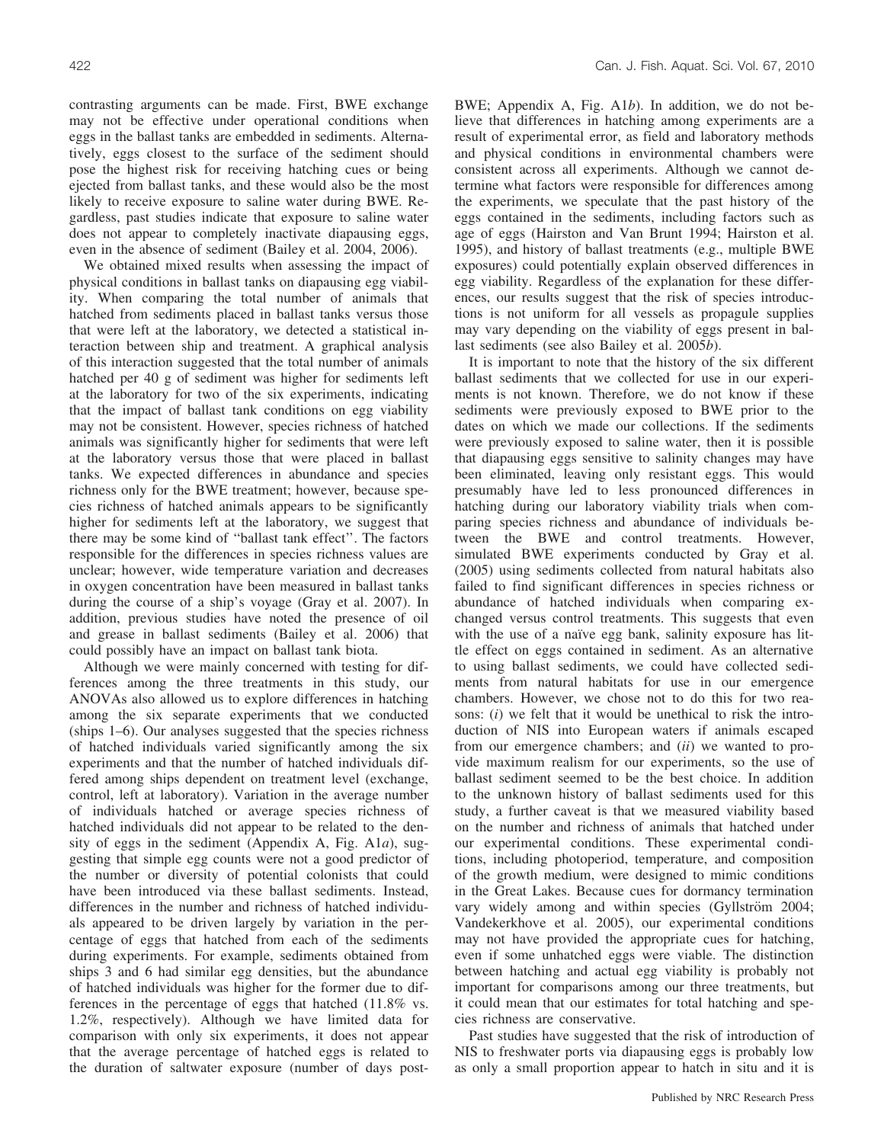contrasting arguments can be made. First, BWE exchange may not be effective under operational conditions when eggs in the ballast tanks are embedded in sediments. Alternatively, eggs closest to the surface of the sediment should pose the highest risk for receiving hatching cues or being ejected from ballast tanks, and these would also be the most likely to receive exposure to saline water during BWE. Regardless, past studies indicate that exposure to saline water does not appear to completely inactivate diapausing eggs, even in the absence of sediment (Bailey et al. 2004, 2006).

We obtained mixed results when assessing the impact of physical conditions in ballast tanks on diapausing egg viability. When comparing the total number of animals that hatched from sediments placed in ballast tanks versus those that were left at the laboratory, we detected a statistical interaction between ship and treatment. A graphical analysis of this interaction suggested that the total number of animals hatched per 40 g of sediment was higher for sediments left at the laboratory for two of the six experiments, indicating that the impact of ballast tank conditions on egg viability may not be consistent. However, species richness of hatched animals was significantly higher for sediments that were left at the laboratory versus those that were placed in ballast tanks. We expected differences in abundance and species richness only for the BWE treatment; however, because species richness of hatched animals appears to be significantly higher for sediments left at the laboratory, we suggest that there may be some kind of ''ballast tank effect''. The factors responsible for the differences in species richness values are unclear; however, wide temperature variation and decreases in oxygen concentration have been measured in ballast tanks during the course of a ship's voyage (Gray et al. 2007). In addition, previous studies have noted the presence of oil and grease in ballast sediments (Bailey et al. 2006) that could possibly have an impact on ballast tank biota.

Although we were mainly concerned with testing for differences among the three treatments in this study, our ANOVAs also allowed us to explore differences in hatching among the six separate experiments that we conducted (ships 1–6). Our analyses suggested that the species richness of hatched individuals varied significantly among the six experiments and that the number of hatched individuals differed among ships dependent on treatment level (exchange, control, left at laboratory). Variation in the average number of individuals hatched or average species richness of hatched individuals did not appear to be related to the density of eggs in the sediment (Appendix A, Fig. A1*a*), suggesting that simple egg counts were not a good predictor of the number or diversity of potential colonists that could have been introduced via these ballast sediments. Instead, differences in the number and richness of hatched individuals appeared to be driven largely by variation in the percentage of eggs that hatched from each of the sediments during experiments. For example, sediments obtained from ships 3 and 6 had similar egg densities, but the abundance of hatched individuals was higher for the former due to differences in the percentage of eggs that hatched (11.8% vs. 1.2%, respectively). Although we have limited data for comparison with only six experiments, it does not appear that the average percentage of hatched eggs is related to the duration of saltwater exposure (number of days postBWE; Appendix A, Fig. A1*b*). In addition, we do not believe that differences in hatching among experiments are a result of experimental error, as field and laboratory methods and physical conditions in environmental chambers were consistent across all experiments. Although we cannot determine what factors were responsible for differences among the experiments, we speculate that the past history of the eggs contained in the sediments, including factors such as age of eggs (Hairston and Van Brunt 1994; Hairston et al. 1995), and history of ballast treatments (e.g., multiple BWE exposures) could potentially explain observed differences in egg viability. Regardless of the explanation for these differences, our results suggest that the risk of species introductions is not uniform for all vessels as propagule supplies may vary depending on the viability of eggs present in ballast sediments (see also Bailey et al. 2005*b*).

It is important to note that the history of the six different ballast sediments that we collected for use in our experiments is not known. Therefore, we do not know if these sediments were previously exposed to BWE prior to the dates on which we made our collections. If the sediments were previously exposed to saline water, then it is possible that diapausing eggs sensitive to salinity changes may have been eliminated, leaving only resistant eggs. This would presumably have led to less pronounced differences in hatching during our laboratory viability trials when comparing species richness and abundance of individuals between the BWE and control treatments. However, simulated BWE experiments conducted by Gray et al. (2005) using sediments collected from natural habitats also failed to find significant differences in species richness or abundance of hatched individuals when comparing exchanged versus control treatments. This suggests that even with the use of a naïve egg bank, salinity exposure has little effect on eggs contained in sediment. As an alternative to using ballast sediments, we could have collected sediments from natural habitats for use in our emergence chambers. However, we chose not to do this for two reasons: (*i*) we felt that it would be unethical to risk the introduction of NIS into European waters if animals escaped from our emergence chambers; and (*ii*) we wanted to provide maximum realism for our experiments, so the use of ballast sediment seemed to be the best choice. In addition to the unknown history of ballast sediments used for this study, a further caveat is that we measured viability based on the number and richness of animals that hatched under our experimental conditions. These experimental conditions, including photoperiod, temperature, and composition of the growth medium, were designed to mimic conditions in the Great Lakes. Because cues for dormancy termination vary widely among and within species (Gyllström 2004; Vandekerkhove et al. 2005), our experimental conditions may not have provided the appropriate cues for hatching, even if some unhatched eggs were viable. The distinction between hatching and actual egg viability is probably not important for comparisons among our three treatments, but it could mean that our estimates for total hatching and species richness are conservative.

Past studies have suggested that the risk of introduction of NIS to freshwater ports via diapausing eggs is probably low as only a small proportion appear to hatch in situ and it is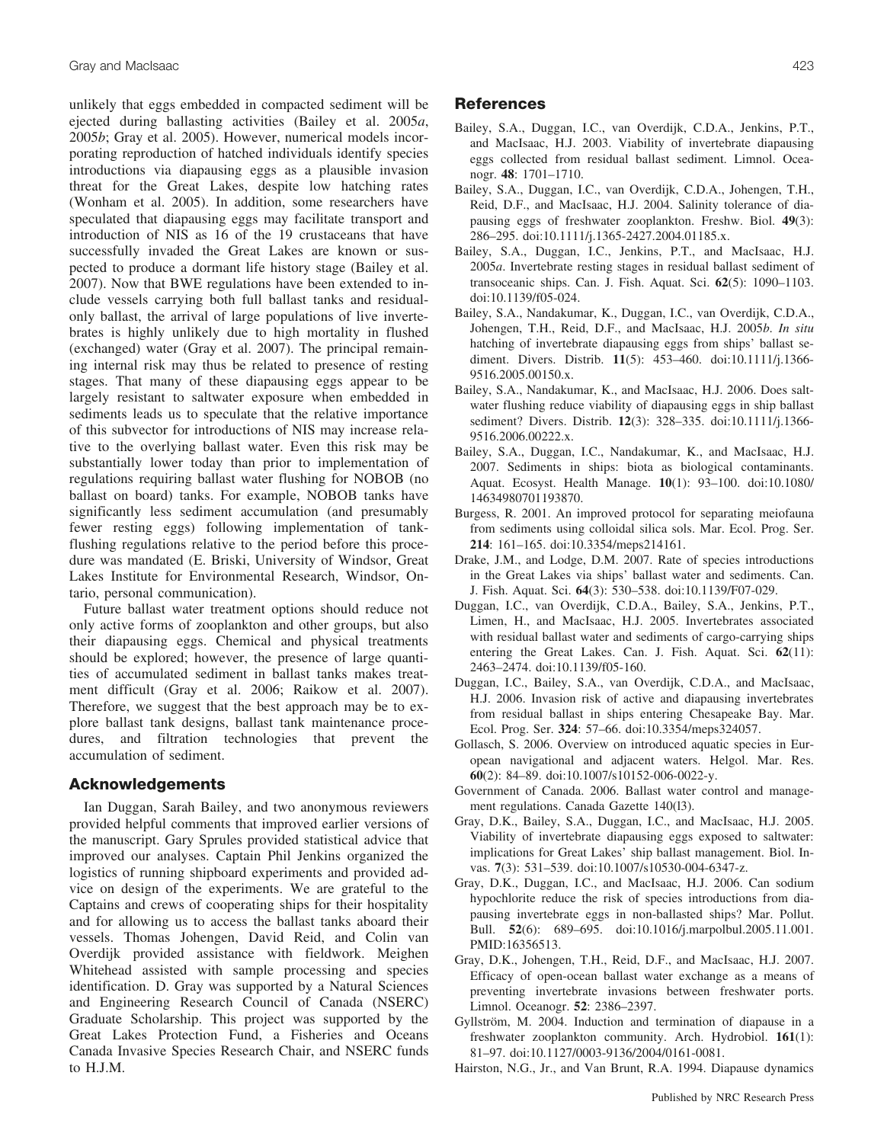unlikely that eggs embedded in compacted sediment will be ejected during ballasting activities (Bailey et al. 2005*a*, 2005*b*; Gray et al. 2005). However, numerical models incorporating reproduction of hatched individuals identify species introductions via diapausing eggs as a plausible invasion threat for the Great Lakes, despite low hatching rates (Wonham et al. 2005). In addition, some researchers have speculated that diapausing eggs may facilitate transport and introduction of NIS as 16 of the 19 crustaceans that have successfully invaded the Great Lakes are known or suspected to produce a dormant life history stage (Bailey et al. 2007). Now that BWE regulations have been extended to include vessels carrying both full ballast tanks and residualonly ballast, the arrival of large populations of live invertebrates is highly unlikely due to high mortality in flushed (exchanged) water (Gray et al. 2007). The principal remaining internal risk may thus be related to presence of resting stages. That many of these diapausing eggs appear to be largely resistant to saltwater exposure when embedded in sediments leads us to speculate that the relative importance of this subvector for introductions of NIS may increase relative to the overlying ballast water. Even this risk may be substantially lower today than prior to implementation of regulations requiring ballast water flushing for NOBOB (no ballast on board) tanks. For example, NOBOB tanks have significantly less sediment accumulation (and presumably fewer resting eggs) following implementation of tankflushing regulations relative to the period before this procedure was mandated (E. Briski, University of Windsor, Great Lakes Institute for Environmental Research, Windsor, Ontario, personal communication).

Future ballast water treatment options should reduce not only active forms of zooplankton and other groups, but also their diapausing eggs. Chemical and physical treatments should be explored; however, the presence of large quantities of accumulated sediment in ballast tanks makes treatment difficult (Gray et al. 2006; Raikow et al. 2007). Therefore, we suggest that the best approach may be to explore ballast tank designs, ballast tank maintenance procedures, and filtration technologies that prevent the accumulation of sediment.

#### **Acknowledgements**

Ian Duggan, Sarah Bailey, and two anonymous reviewers provided helpful comments that improved earlier versions of the manuscript. Gary Sprules provided statistical advice that improved our analyses. Captain Phil Jenkins organized the logistics of running shipboard experiments and provided advice on design of the experiments. We are grateful to the Captains and crews of cooperating ships for their hospitality and for allowing us to access the ballast tanks aboard their vessels. Thomas Johengen, David Reid, and Colin van Overdijk provided assistance with fieldwork. Meighen Whitehead assisted with sample processing and species identification. D. Gray was supported by a Natural Sciences and Engineering Research Council of Canada (NSERC) Graduate Scholarship. This project was supported by the Great Lakes Protection Fund, a Fisheries and Oceans Canada Invasive Species Research Chair, and NSERC funds to H.J.M.

#### **References**

- Bailey, S.A., Duggan, I.C., van Overdijk, C.D.A., Jenkins, P.T., and MacIsaac, H.J. 2003. Viability of invertebrate diapausing eggs collected from residual ballast sediment. Limnol. Oceanogr. **48**: 1701–1710.
- Bailey, S.A., Duggan, I.C., van Overdijk, C.D.A., Johengen, T.H., Reid, D.F., and MacIsaac, H.J. 2004. Salinity tolerance of diapausing eggs of freshwater zooplankton. Freshw. Biol. **49**(3): 286–295. doi:10.1111/j.1365-2427.2004.01185.x.
- Bailey, S.A., Duggan, I.C., Jenkins, P.T., and MacIsaac, H.J. 2005*a*. Invertebrate resting stages in residual ballast sediment of transoceanic ships. Can. J. Fish. Aquat. Sci. **62**(5): 1090–1103. doi:10.1139/f05-024.
- Bailey, S.A., Nandakumar, K., Duggan, I.C., van Overdijk, C.D.A., Johengen, T.H., Reid, D.F., and MacIsaac, H.J. 2005*b*. *In situ* hatching of invertebrate diapausing eggs from ships' ballast sediment. Divers. Distrib. **11**(5): 453–460. doi:10.1111/j.1366- 9516.2005.00150.x.
- Bailey, S.A., Nandakumar, K., and MacIsaac, H.J. 2006. Does saltwater flushing reduce viability of diapausing eggs in ship ballast sediment? Divers. Distrib. **12**(3): 328–335. doi:10.1111/j.1366- 9516.2006.00222.x.
- Bailey, S.A., Duggan, I.C., Nandakumar, K., and MacIsaac, H.J. 2007. Sediments in ships: biota as biological contaminants. Aquat. Ecosyst. Health Manage. **10**(1): 93–100. doi:10.1080/ 14634980701193870.
- Burgess, R. 2001. An improved protocol for separating meiofauna from sediments using colloidal silica sols. Mar. Ecol. Prog. Ser. **214**: 161–165. doi:10.3354/meps214161.
- Drake, J.M., and Lodge, D.M. 2007. Rate of species introductions in the Great Lakes via ships' ballast water and sediments. Can. J. Fish. Aquat. Sci. **64**(3): 530–538. doi:10.1139/F07-029.
- Duggan, I.C., van Overdijk, C.D.A., Bailey, S.A., Jenkins, P.T., Limen, H., and MacIsaac, H.J. 2005. Invertebrates associated with residual ballast water and sediments of cargo-carrying ships entering the Great Lakes. Can. J. Fish. Aquat. Sci. **62**(11): 2463–2474. doi:10.1139/f05-160.
- Duggan, I.C., Bailey, S.A., van Overdijk, C.D.A., and MacIsaac, H.J. 2006. Invasion risk of active and diapausing invertebrates from residual ballast in ships entering Chesapeake Bay. Mar. Ecol. Prog. Ser. **324**: 57–66. doi:10.3354/meps324057.
- Gollasch, S. 2006. Overview on introduced aquatic species in European navigational and adjacent waters. Helgol. Mar. Res. **60**(2): 84–89. doi:10.1007/s10152-006-0022-y.
- Government of Canada. 2006. Ballast water control and management regulations. Canada Gazette 140(l3).
- Gray, D.K., Bailey, S.A., Duggan, I.C., and MacIsaac, H.J. 2005. Viability of invertebrate diapausing eggs exposed to saltwater: implications for Great Lakes' ship ballast management. Biol. Invas. **7**(3): 531–539. doi:10.1007/s10530-004-6347-z.
- Gray, D.K., Duggan, I.C., and MacIsaac, H.J. 2006. Can sodium hypochlorite reduce the risk of species introductions from diapausing invertebrate eggs in non-ballasted ships? Mar. Pollut. Bull. **52**(6): 689–695. doi:10.1016/j.marpolbul.2005.11.001. PMID:16356513.
- Gray, D.K., Johengen, T.H., Reid, D.F., and MacIsaac, H.J. 2007. Efficacy of open-ocean ballast water exchange as a means of preventing invertebrate invasions between freshwater ports. Limnol. Oceanogr. **52**: 2386–2397.
- Gyllström, M. 2004. Induction and termination of diapause in a freshwater zooplankton community. Arch. Hydrobiol. **161**(1): 81–97. doi:10.1127/0003-9136/2004/0161-0081.
- Hairston, N.G., Jr., and Van Brunt, R.A. 1994. Diapause dynamics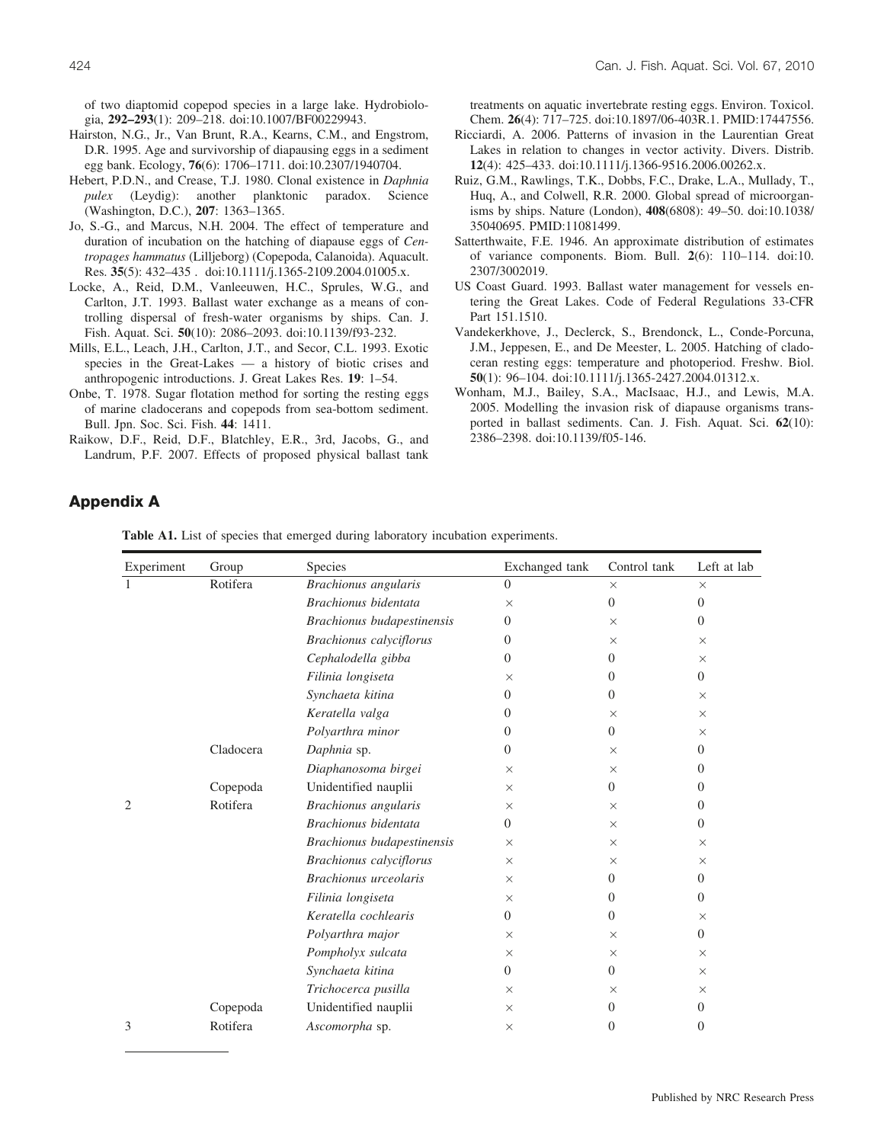of two diaptomid copepod species in a large lake. Hydrobiologia, **292–293**(1): 209–218. doi:10.1007/BF00229943.

- Hairston, N.G., Jr., Van Brunt, R.A., Kearns, C.M., and Engstrom, D.R. 1995. Age and survivorship of diapausing eggs in a sediment egg bank. Ecology, **76**(6): 1706–1711. doi:10.2307/1940704.
- Hebert, P.D.N., and Crease, T.J. 1980. Clonal existence in *Daphnia pulex* (Leydig): another planktonic paradox. Science (Washington, D.C.), **207**: 1363–1365.
- Jo, S.-G., and Marcus, N.H. 2004. The effect of temperature and duration of incubation on the hatching of diapause eggs of *Centropages hammatus* (Lilljeborg) (Copepoda, Calanoida). Aquacult. Res. **35**(5): 432–435 . doi:10.1111/j.1365-2109.2004.01005.x.
- Locke, A., Reid, D.M., Vanleeuwen, H.C., Sprules, W.G., and Carlton, J.T. 1993. Ballast water exchange as a means of controlling dispersal of fresh-water organisms by ships. Can. J. Fish. Aquat. Sci. **50**(10): 2086–2093. doi:10.1139/f93-232.
- Mills, E.L., Leach, J.H., Carlton, J.T., and Secor, C.L. 1993. Exotic species in the Great-Lakes — a history of biotic crises and anthropogenic introductions. J. Great Lakes Res. **19**: 1–54.
- Onbe, T. 1978. Sugar flotation method for sorting the resting eggs of marine cladocerans and copepods from sea-bottom sediment. Bull. Jpn. Soc. Sci. Fish. **44**: 1411.
- Raikow, D.F., Reid, D.F., Blatchley, E.R., 3rd, Jacobs, G., and Landrum, P.F. 2007. Effects of proposed physical ballast tank

treatments on aquatic invertebrate resting eggs. Environ. Toxicol. Chem. **26**(4): 717–725. doi:10.1897/06-403R.1. PMID:17447556.

- Ricciardi, A. 2006. Patterns of invasion in the Laurentian Great Lakes in relation to changes in vector activity. Divers. Distrib. **12**(4): 425–433. doi:10.1111/j.1366-9516.2006.00262.x.
- Ruiz, G.M., Rawlings, T.K., Dobbs, F.C., Drake, L.A., Mullady, T., Huq, A., and Colwell, R.R. 2000. Global spread of microorganisms by ships. Nature (London), **408**(6808): 49–50. doi:10.1038/ 35040695. PMID:11081499.
- Satterthwaite, F.E. 1946. An approximate distribution of estimates of variance components. Biom. Bull. **2**(6): 110–114. doi:10. 2307/3002019.
- US Coast Guard. 1993. Ballast water management for vessels entering the Great Lakes. Code of Federal Regulations 33-CFR Part 151.1510.
- Vandekerkhove, J., Declerck, S., Brendonck, L., Conde-Porcuna, J.M., Jeppesen, E., and De Meester, L. 2005. Hatching of cladoceran resting eggs: temperature and photoperiod. Freshw. Biol. **50**(1): 96–104. doi:10.1111/j.1365-2427.2004.01312.x.
- Wonham, M.J., Bailey, S.A., MacIsaac, H.J., and Lewis, M.A. 2005. Modelling the invasion risk of diapause organisms transported in ballast sediments. Can. J. Fish. Aquat. Sci. **62**(10): 2386–2398. doi:10.1139/f05-146.

## **Appendix A**

**Table A1.** List of species that emerged during laboratory incubation experiments.

| Experiment | Group     | Species                    | Exchanged tank | Control tank | Left at lab    |
|------------|-----------|----------------------------|----------------|--------------|----------------|
|            | Rotifera  | Brachionus angularis       | $\Omega$       | $\times$     | $\times$       |
|            |           | Brachionus bidentata       | $\times$       | $\Omega$     | $\theta$       |
|            |           | Brachionus budapestinensis | $\Omega$       | $\times$     | $\Omega$       |
|            |           | Brachionus calyciflorus    | $\Omega$       | $\times$     | $\times$       |
|            |           | Cephalodella gibba         | $\Omega$       | $\Omega$     | $\times$       |
|            |           | Filinia longiseta          | $\times$       | $\Omega$     | $\Omega$       |
|            |           | Synchaeta kitina           | $\overline{0}$ | $\Omega$     | $\times$       |
|            |           | Keratella valga            | $\Omega$       | $\times$     | $\times$       |
|            |           | Polyarthra minor           | $\Omega$       | $\Omega$     | $\times$       |
|            | Cladocera | Daphnia sp.                | $\overline{0}$ | $\times$     | $\Omega$       |
|            |           | Diaphanosoma birgei        | $\times$       | $\times$     | $\Omega$       |
|            | Copepoda  | Unidentified nauplii       | $\times$       | $\Omega$     | 0              |
| 2          | Rotifera  | Brachionus angularis       | $\times$       | $\times$     | $\Omega$       |
|            |           | Brachionus bidentata       | $\Omega$       | $\times$     | $\Omega$       |
|            |           | Brachionus budapestinensis | $\times$       | $\times$     | $\times$       |
|            |           | Brachionus calyciflorus    | $\times$       | $\times$     | $\times$       |
|            |           | Brachionus urceolaris      | $\times$       | $\Omega$     | $\Omega$       |
|            |           | Filinia longiseta          | $\times$       | $\Omega$     | $\Omega$       |
|            |           | Keratella cochlearis       | $\Omega$       | $\Omega$     | $\times$       |
|            |           | Polyarthra major           | $\times$       | $\times$     | $\overline{0}$ |
|            |           | Pompholyx sulcata          | $\times$       | $\times$     | $\times$       |
|            |           | Synchaeta kitina           | $\Omega$       | $\Omega$     | $\times$       |
|            |           | Trichocerca pusilla        | $\times$       | $\times$     | $\times$       |
|            | Copepoda  | Unidentified nauplii       | $\times$       | $\Omega$     | $\Omega$       |
| 3          | Rotifera  | Ascomorpha sp.             | $\times$       | $\Omega$     | $\overline{0}$ |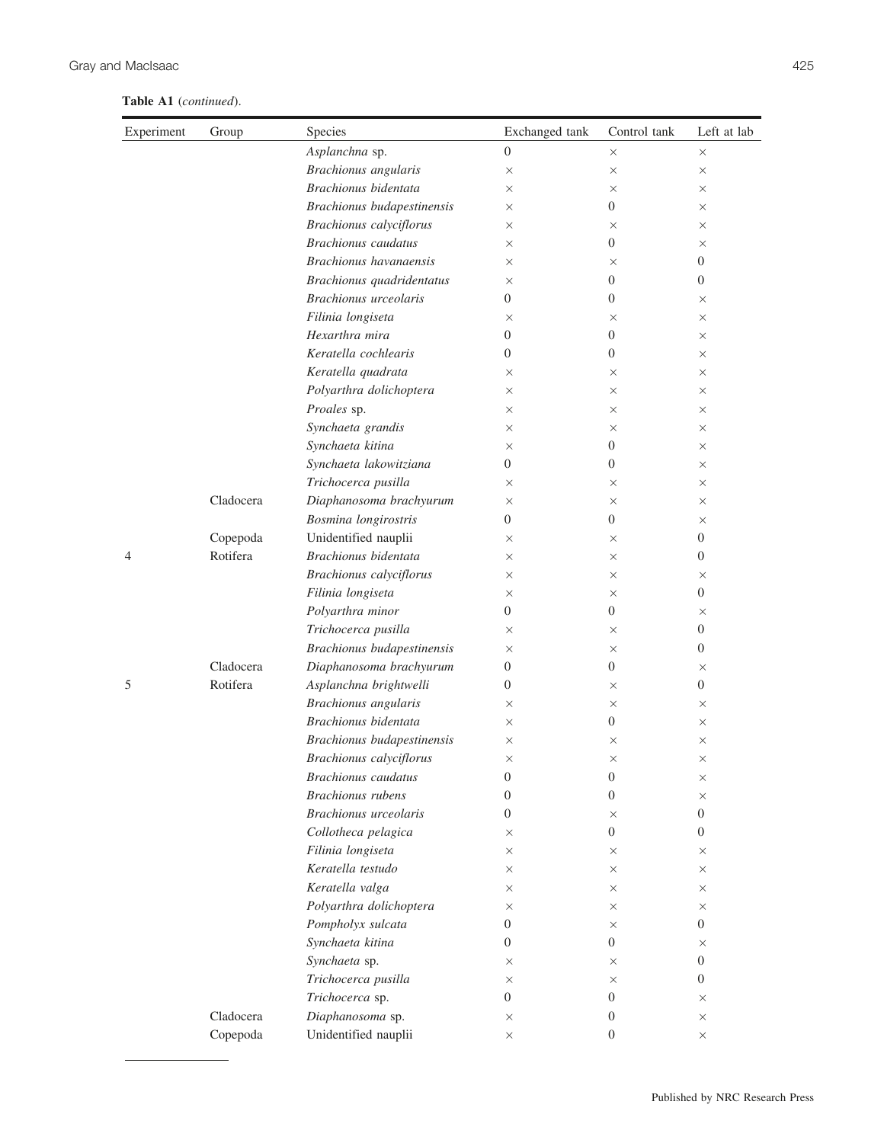**Table A1** (*continued*).

| Experiment | Group     | Species                        | Exchanged tank | Control tank   | Left at lab    |
|------------|-----------|--------------------------------|----------------|----------------|----------------|
|            |           | Asplanchna sp.                 | $\overline{0}$ | $\times$       | $\times$       |
|            |           | Brachionus angularis           | $\times$       | $\times$       | $\times$       |
|            |           | Brachionus bidentata           | $\times$       | $\times$       | $\times$       |
|            |           | Brachionus budapestinensis     | $\times$       | $\mathbf{0}$   | $\times$       |
|            |           | Brachionus calyciflorus        | $\times$       | $\times$       | $\times$       |
|            |           | <b>Brachionus</b> caudatus     | $\times$       | $\mathbf{0}$   | $\times$       |
|            |           | Brachionus havanaensis         | $\times$       | $\times$       | $\theta$       |
|            |           | Brachionus quadridentatus      | $\times$       | $\theta$       | $\theta$       |
|            |           | Brachionus urceolaris          | $\overline{0}$ | $\theta$       | $\times$       |
|            |           | Filinia longiseta              | $\times$       | $\times$       | $\times$       |
|            |           | Hexarthra mira                 | $\overline{0}$ | $\overline{0}$ | $\times$       |
|            |           | Keratella cochlearis           | $\overline{0}$ | $\overline{0}$ | $\times$       |
|            |           | Keratella quadrata             | $\times$       | $\times$       | $\times$       |
|            |           | Polyarthra dolichoptera        | X              | $\times$       | X              |
|            |           | Proales sp.                    | X              | $\times$       | $\times$       |
|            |           | Synchaeta grandis              | $\times$       | ×              | $\times$       |
|            |           | Synchaeta kitina               | $\times$       | $\overline{0}$ | $\times$       |
|            |           | Synchaeta lakowitziana         | $\overline{0}$ | $\overline{0}$ | $\times$       |
|            |           | Trichocerca pusilla            | $\times$       | $\times$       | $\times$       |
|            | Cladocera | Diaphanosoma brachyurum        | $\times$       | $\times$       | $\times$       |
|            |           | Bosmina longirostris           | $\overline{0}$ | $\overline{0}$ | $\times$       |
|            | Copepoda  | Unidentified nauplii           | X              | $\times$       | 0              |
| 4          | Rotifera  | Brachionus bidentata           | $\times$       | $\times$       | $\theta$       |
|            |           | Brachionus calyciflorus        | $\times$       | $\times$       | $\times$       |
|            |           | Filinia longiseta              | $\times$       | $\times$       | $\overline{0}$ |
|            |           | Polyarthra minor               | $\overline{0}$ | $\overline{0}$ | $\times$       |
|            |           | Trichocerca pusilla            | $\times$       | $\times$       | $\theta$       |
|            |           | Brachionus budapestinensis     | $\times$       | $\times$       | $\mathbf{0}$   |
|            | Cladocera | Diaphanosoma brachyurum        | $\overline{0}$ | $\overline{0}$ | $\times$       |
| 5          | Rotifera  | Asplanchna brightwelli         | $\overline{0}$ | $\times$       | $\overline{0}$ |
|            |           | Brachionus angularis           | $\times$       | $\times$       | $\times$       |
|            |           | Brachionus bidentata           | $\times$       | $\overline{0}$ | $\times$       |
|            |           | Brachionus budapestinensis     | $\times$       | $\times$       | $\times$       |
|            |           | <b>Brachionus</b> calyciflorus | $\times$       | $\times$       | $\times$       |
|            |           | <b>Brachionus</b> caudatus     | 0              | $\mathbf{0}$   | $\times$       |
|            |           | <b>Brachionus</b> rubens       | $\mathbf{0}$   | $\overline{0}$ | $\times$       |
|            |           | Brachionus urceolaris          | $\overline{0}$ | $\times$       | $\mathbf{0}$   |
|            |           | Collotheca pelagica            | $\times$       | $\overline{0}$ | $\overline{0}$ |
|            |           | Filinia longiseta              | $\times$       | X              | $\times$       |
|            |           | Keratella testudo              | $\times$       | X              | X              |
|            |           | Keratella valga                | $\times$       | $\times$       | X              |
|            |           | Polyarthra dolichoptera        | $\times$       | X              | $\times$       |
|            |           | Pompholyx sulcata              | $\overline{0}$ | X              | $\overline{0}$ |
|            |           | Synchaeta kitina               | $\overline{0}$ | $\overline{0}$ | $\times$       |
|            |           | Synchaeta sp.                  | X              | X              | $\mathbf{0}$   |
|            |           | Trichocerca pusilla            | X              | $\times$       | $\overline{0}$ |
|            |           | Trichocerca sp.                | 0              | $\overline{0}$ | $\times$       |
|            | Cladocera | Diaphanosoma sp.               | $\times$       | $\theta$       | $\times$       |
|            | Copepoda  | Unidentified nauplii           | $\times$       | $\mathbf{0}$   | $\times$       |